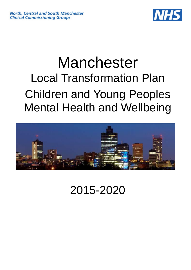

# Manchester Local Transformation Plan Children and Young Peoples Mental Health and Wellbeing



2015-2020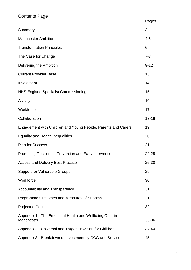# Contents Page

|                                                                        | Pages     |
|------------------------------------------------------------------------|-----------|
| Summary                                                                | 3         |
| <b>Manchester Ambition</b>                                             | $4 - 5$   |
| <b>Transformation Principles</b>                                       | 6         |
| The Case for Change                                                    | $7 - 8$   |
| Delivering the Ambition                                                | $9 - 12$  |
| <b>Current Provider Base</b>                                           | 13        |
| Investment                                                             | 14        |
| <b>NHS England Specialist Commissioning</b>                            | 15        |
| Activity                                                               | 16        |
| Workforce                                                              | 17        |
| Collaboration                                                          | $17 - 18$ |
| Engagement with Children and Young People, Parents and Carers          | 19        |
| <b>Equality and Health Inequalities</b>                                | 20        |
| <b>Plan for Success</b>                                                | 21        |
| Promoting Resilience, Prevention and Early Intervention                | $22 - 25$ |
| <b>Access and Delivery Best Practice</b>                               | 25-30     |
| <b>Support for Vulnerable Groups</b>                                   | 29        |
| Workforce                                                              | 30        |
| Accountability and Transparency                                        | 31        |
| Programme Outcomes and Measures of Success                             | 31        |
| <b>Projected Costs</b>                                                 | 32        |
| Appendix 1 - The Emotional Health and Wellbeing Offer in<br>Manchester | $33 - 36$ |
| Appendix 2 - Universal and Target Provision for Children               | 37-44     |
| Appendix 3 - Breakdown of Investment by CCG and Service                | 45        |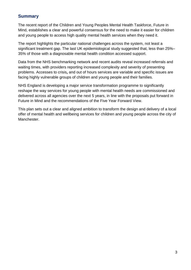## **Summary**

The recent report of the Children and Young Peoples Mental Health Taskforce, Future in Mind, establishes a clear and powerful consensus for the need to make it easier for children and young people to access high quality mental health services when they need it.

The report highlights the particular national challenges across the system, not least a significant treatment gap. The last UK epidemiological study suggested that, less than 25%– 35% of those with a diagnosable mental health condition accessed support.

Data from the NHS benchmarking network and recent audits reveal increased referrals and waiting times, with providers reporting increased complexity and severity of presenting problems. Accesses to crisis**,** and out of hours services are variable and specific issues are facing highly vulnerable groups of children and young people and their families.

NHS England is developing a major service transformation programme to significantly reshape the way services for young people with mental health needs are commissioned and delivered across all agencies over the next 5 years, in line with the proposals put forward in Future in Mind and the recommendations of the Five Year Forward View.

This plan sets out a clear and aligned ambition to transform the design and delivery of a local offer of mental health and wellbeing services for children and young people across the city of Manchester.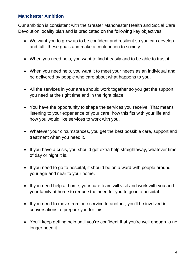# **Manchester Ambition**

Our ambition is consistent with the Greater Manchester Health and Social Care Devolution locality plan and is predicated on the following key objectives

- We want you to grow up to be confident and resilient so you can develop and fulfil these goals and make a contribution to society.
- When you need help, you want to find it easily and to be able to trust it.
- When you need help, you want it to meet your needs as an individual and be delivered by people who care about what happens to you.
- All the services in your area should work together so you get the support you need at the right time and in the right place.
- You have the opportunity to shape the services you receive. That means listening to your experience of your care, how this fits with your life and how you would like services to work with you.
- Whatever your circumstances, you get the best possible care, support and treatment when you need it.
- If you have a crisis, you should get extra help straightaway, whatever time of day or night it is.
- If you need to go to hospital, it should be on a ward with people around your age and near to your home.
- If you need help at home, your care team will visit and work with you and your family at home to reduce the need for you to go into hospital.
- If you need to move from one service to another, you'll be involved in conversations to prepare you for this.
- You'll keep getting help until you're confident that you're well enough to no longer need it.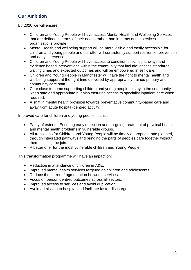# **Our Ambition**

By 2020 we will ensure:

- Children and Young People will have access Mental Health and Wellbeing Services that are defined in terms of their needs rather than in terms of the services organisations provide.
- Mental Health and wellbeing support will be more visible and easily accessible for children and young people and our offer will consistently support resilience, prevention and early intervention.
- Children and Young People will have access to condition specific pathways and evidence based interventions within the community that include; access standards, waiting times and expected outcomes and will be empowered in self-care.
- Children and Young People in Manchester will have the right to mental health and wellbeing support at the right time delivered by appropriately trained primary and community care staff.
- Care close to home supporting children and young people to stay in the community when safe and appropriate but also ensuring access to specialist inpatient care when required.
- A shift in mental health provision towards preventative community-based care and away from acute hospital-centred activity.

Improved care for children and young people in crisis.

- Parity of esteem. Ensuring early detection and on-going treatment of physical health and mental health problems in vulnerable groups.
- All transitions for Children and Young People will be timely appropriate and planned, through integrated pathways and bringing the parts of peoples care together without them noticing the join.
- A better offer for the most vulnerable children and Young People.

This transformation programme will have an impact on:

- Reduction in attendance of children in A&E.
- Improved mental health services targeted on children and adolescents.
- Reduce the current fragmentation between services.
- Focus on person-centred outcomes across all sectors.
- Improved access to services and avoid duplication.
- Avoid admission to hospital and facilitate faster discharge.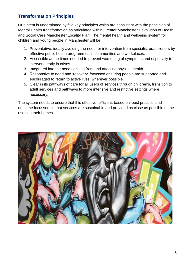# **Transformation Principles**

Our intent is underpinned by five key principles which are consistent with the principles of Mental Health transformation as articulated within Greater Manchester Devolution of Health and Social Care Manchester Locality Plan. The mental health and wellbeing system for children and young people in Manchester will be:

- 1. Preventative, ideally avoiding the need for intervention from specialist practitioners by effective public health programmes in communities and workplaces.
- 2. Accessible at the times needed to prevent worsening of symptoms and especially to intervene early in crises.
- 3. Integrated into the needs arising from and affecting physical health.
- 4. Responsive to need and 'recovery' focussed ensuring people are supported and encouraged to return to active lives, wherever possible.
- 5. Clear in its pathways of care for all users of services through children's, transition to adult services and pathways to more intensive and restrictive settings where necessary.

The system needs to ensure that it is effective, efficient, based on 'best practice' and outcome focussed so that services are sustainable and provided as close as possible to the users in their homes.

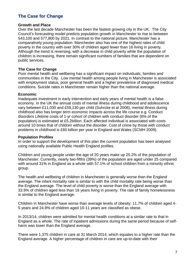# **The Case for Change**

#### **Growth and Place**

Over the last decade Manchester has been the fastest growing city in the UK. The City Council's forecasting model predicts population growth in Manchester to rise to between 543,100 and 577,800 by 2021. In contrast to the national picture, Manchester has a comparatively young population. Manchester also has one of the highest rates of child poverty in the country with over 30% of children aged fewer than 16 living in poverty. Although the trend is reversing, with a decrease in child poverty while the population of children is increasing, there remain significant numbers of families that are dependent on public services.

#### **The Case for Change**

Poor mental health and wellbeing has a significant impact on individuals, families and communities in the City. Low mental health among people living in Manchester is associated with employment status, poor general health and a higher prevalence of diagnosed medical conditions. Suicide rates in Manchester remain higher than the national average.

#### **Economic**

Inadequate investment in early intervention and early years of mental health is a false economy. In the UK the annual costs of mental illness during childhood and adolescence vary between £11,030 and £59,130 per child (Suhrcke et al 2008), mental illness during childhood also has longer term economic impacts across the life course e.g. Conduct disorders Lifetime costs of 1-yr cohort of children with conduct disorder (6% of the population) is estimated at £5.2billion. Each affected individual is associated with costs around 10 times that of children without the disorder. Cost of crime by those with conduct problems in childhood is £60 billion per year in England and Wales (SCMH 2009).

#### **Population Profiles**

In order to support the development of this plan the current population has been analysed using nationally available Public Health England profiles.

Children and young people under the age of 20 years make up 25.2% of the population of Manchester. Currently, nearly two-fifths (39%) of the population are aged under 25 compared with around 31% in England as a whole with 57.1% of school children from a minority ethnic group.

The health and wellbeing of children in Manchester is generally worse than the England average. The infant mortality rate is similar to with the child mortality rate being worse than the England average. The level of child poverty is worse than the England average with 33.9% of children aged less than 16 years living in poverty. The rate of family homelessness is similar to the England average.

Children in Manchester have worse than average levels of obesity: 11.7% of children aged 4- 5 years and 24.8% of children aged 10-11 years are classified as obese.

In 2013/14, children were admitted for mental health conditions at a similar rate to that in England as a whole. The rate of inpatient admissions during the same period because of selfharm was lower than the England average.

There were 1,375 children in care at 31 March 2014, which equates to a higher rate than the England average. A higher percentage of children in care are up-to-date with their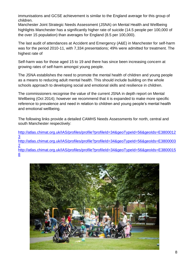immunisations and GCSE achievement is similar to the England average for this group of children.

Manchester Joint Strategic Needs Assessment (JSNA) on Mental Health and Wellbeing highlights Manchester has a significantly higher rate of suicide (14.5 people per 100,000 of the over 15 population) than averages for England (8.5 per 100,000).

The last audit of attendances at Accident and Emergency (A&E) in Manchester for self-harm was for the period 2010-11, with 7,334 presentations; 49% were admitted for treatment. The highest rate of

Self-harm was for those aged 15 to 19 and there has since been increasing concern at growing rates of self-harm amongst young people.

The JSNA establishes the need to promote the mental health of children and young people as a means to reducing adult mental health. This should include building on the whole schools approach to developing social and emotional skills and resilience in children.

The commissioners recognise the value of the current JSNA in depth report on Mental Wellbeing (Oct 2014); however we recommend that it is expanded to make more specific reference to prevalence and need in relation to children and young people's mental health and emotional wellbeing.

The following links provide a detailed CAMHS Needs Assessments for north, central and south Manchester respectively:

[http://atlas.chimat.org.uk/IAS/profiles/profile?profileId=34&geoTypeId=56&geoIds=E3800012](http://atlas.chimat.org.uk/IAS/profiles/profile?profileId=34&geoTypeId=56&geoIds=E38000123) [3](http://atlas.chimat.org.uk/IAS/profiles/profile?profileId=34&geoTypeId=56&geoIds=E38000123) [http://atlas.chimat.org.uk/IAS/profiles/profile?profileId=34&geoTypeId=56&geoIds=E3800003](http://atlas.chimat.org.uk/IAS/profiles/profile?profileId=34&geoTypeId=56&geoIds=E38000032) [2](http://atlas.chimat.org.uk/IAS/profiles/profile?profileId=34&geoTypeId=56&geoIds=E38000032) [http://atlas.chimat.org.uk/IAS/profiles/profile?profileId=34&geoTypeId=56&geoIds=E3800015](http://atlas.chimat.org.uk/IAS/profiles/profile?profileId=34&geoTypeId=56&geoIds=E38000158) [8](http://atlas.chimat.org.uk/IAS/profiles/profile?profileId=34&geoTypeId=56&geoIds=E38000158)

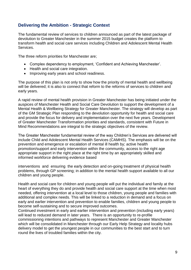# **Delivering the Ambition - Strategic Context**

The fundamental review of services to children announced as part of the latest package of devolution to Greater Manchester in the summer 2015 budget creates the platform to transform health and social care services including Children and Adolescent Mental Health Services.

The three reform priorities for Manchester are;

- Complex dependency to employment, 'Confident and Achieving Manchester'.
- Health and social care integration.
- Improving early years and school readiness.

The purpose of this plan is not only to show how the priority of mental health and wellbeing will be delivered; it is also to connect that reform to the reforms of services to children and early years.

A rapid review of mental health provision in Greater Manchester has being initiated under the auspices of Manchester Health and Social Care Devolution to support the development of a Mental Health & Wellbeing Strategy for Greater Manchester. The strategy will develop as part of the GM Strategic Plan responding to the devolution opportunity for health and social care and provide the focus for delivery and implementation over the next five years. Development of Greater Manchester Transformation priorities and standards, consistent with Future in Mind Recommendations are integral to the strategic objectives of the review.

The Greater Manchester fundamental review of the way Children's Services are delivered will include Child and Adolescent Mental Health Services (CAMHS). The emphasis will be on the prevention and emergence or escalation of mental ill health by; active health promotion/support and early intervention within the community, access to the right age appropriate support in the right place at the right time by an appropriately skilled and informed workforce delivering evidence based

interventions and ensuring the early detection and on-going treatment of physical health problems, through GP screening; in addition to the mental health support available to all our children and young people.

Health and social care for children and young people will put the individual and family at the heart of everything they do and provide health and social care support at the time when most needed, offering intervention at a local level to those children, young people and families with additional and complex needs. This will be linked to a reduction in demand and a focus on early and earlier intervention and prevention to enable families, children and young people to become self-sustaining and to secure improved outcomes.

Continued investment in early and earlier intervention and prevention (including early years) will lead to reduced demand in later years. There is an opportunity to re-profile commissioning intentions and pathways to represent Manchester and Greater Manchester which will be consolidated in Manchester through our Early Help Strategy and locality hubs delivery model to get the youngest people in our communities to the best start and to turn round the lives of troubled families within the city.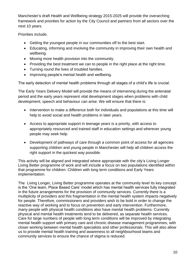Manchester's draft Health and Wellbeing strategy 2015-2025 will provide the overarching framework and priorities for action by the City Council and partners from all sectors over the next 10 years.

Priorities include;

- Getting the youngest people in our communities off to the best start.
- Educating, informing and involving the community in improving their own health and wellbeing.
- Moving more health provision into the community.
- Providing the best treatment we can to people in the right place at the right time.
- Turning round the lives of troubled families.
- Improving people's mental health and wellbeing.

The early detection of mental health problems through all stages of a child's life is crucial.

The Early Years Delivery Model will provide the means of intervening during the antenatal period and the early years represent vital development stages when problems with child development, speech and behaviour can arise. We will ensure that there is:

- Intervention to make a difference both for individuals and populations at this time will help to avoid social and health problems in later years.
- Access to appropriate support in teenage years is a priority, with access to appropriately resourced and trained staff in education settings and wherever young people may seek help.
- Development of pathways of care through a common point of access for all agencies supporting children and young people in Manchester will help all children access the right support in the quickest way possible.

This activity will be aligned and integrated where appropriate with the city's Living Longer Living Better programme of work and will include a focus on two populations identified within that programme for children: Children with long term conditions and Early Years implementation.

The Living Longer, Living Better programme operates at the community level its key concept is the 'One team, Place Based Care' model which has mental health services fully integrated in the future arrangements for the provision of community services. Currently there is a multiplicity of providers and this fragmentation in the mental health system impacts negatively for people. Therefore, commissioners and providers wish to be bold in order to change the reactive way of working and to focus on prevention and early intervention. Furthermore, many people with physical health conditions also have mental health problems. Currently physical and mental health treatments tend to be delivered, as separate health services. Care for large numbers of people with long term conditions will be improved by integrating mental health support with primary care and chronic disease management programmes, with closer working between mental health specialists and other professionals. This will also allow us to provide mental health training and awareness to all neighbourhood teams and community services to ensure the chance of stigma is reduced.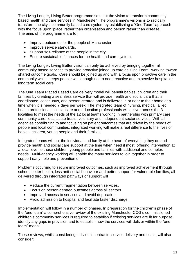The Living Longer, Living Better programme sets out the vision to transform community based health and care services in Manchester. The programme's visions is to radically transform the city's community based care system by establishing a 'One Team' approach with the focus upon 'place' rather than organisation and person rather than disease. The aims of the programme are to;

- Improve outcomes for the people of Manchester.
- Improve service standards.
- Support self-reliance of the people in the city.
- Ensure sustainable finances for the health and care system.

The Living Longer, Living Better vision can only be achieved by bringing together all community based services to provide proactive joined up care as 'One Team', working toward shared outcome goals. Care should be joined up and with a focus upon proactive care in the community which keeps people well enough not to need reactive and expensive hospital or long term social care.

The One Team Placed Based Care delivery model will benefit babies, children and their families by creating a seamless service that will provide health and social care that is coordinated, continuous, and person-centred and is delivered in or near to their home at a time when it is needed 7 days per week. The integrated team of nursing, medical, allied health professionals, social care and education professionals will deliver across the 3 localities to meet the needs of the 12 local teams working in partnership with primary care, community care, local acute trusts, voluntary and independent sector services. With all agencies contributing to and focusing on patient outcomes that are driven by the needs of people and local communities, integrated working will make a real difference to the lives of babies, children, young people and their families.

Integrated teams will put the individual and family at the heart of everything they do and provide health and social care support at the time when need it most, offering intervention at a local level to those children, young people and families with additional and complex needs. Multi-agency working will enable the many services to join together in order to support early help and prevention of

Problems occurring to secure improved outcomes, such as improved achievement through school, better health, less anti-social behaviour and better support for vulnerable families, all delivered through integrated pathways of support will

- Reduce the current fragmentation between services.
- Focus on person-centred outcomes across all sectors.
- Improved access to services and avoid duplication.
- Avoid admission to hospital and facilitate faster discharge.

Implementation will follow in a number of phases. In preparation for the children's phase of the "one team" a comprehensive review of the existing Manchester CCG's commissioned children's community services is required to establish if existing services are fit for purpose, identify any gaps in provision and to establish how the services will deliver within the "one team" model.

These reviews, whilst considering individual contracts, service delivery and costs, will also consider: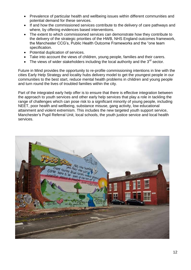- Prevalence of particular health and wellbeing issues within different communities and potential demand for these services.
- If and how the commissioned services contribute to the delivery of care pathways and where, by offering evidences based interventions.
- The extent to which commissioned services can demonstrate how they contribute to the delivery of the strategic priorities of the HWB, NHS England outcomes framework, the Manchester CCG's, Public Health Outcome Frameworks and the "one team specification.
- Potential duplication of services.
- Take into account the views of children, young people, families and their carers.
- The views of wider stakeholders including the local authority and the  $3^{rd}$  sector.

Future in Mind provides the opportunity to re-profile commissioning intentions in line with the cities Early Help Strategy and locality hubs delivery model to get the youngest people in our communities to the best start, reduce mental health problems in children and young people and turn round the lives of troubled families within the city.

Part of the integrated early help offer is to ensure that there is effective integration between the approach to youth services and other early help services that play a role in tackling the range of challenges which can pose risk to a significant minority of young people, including NEET, poor health and wellbeing, substance misuse, gang activity, low educational attainment and violent extremism. This includes the new targeted youth support service, Manchester's Pupil Referral Unit, local schools, the youth justice service and local health services.

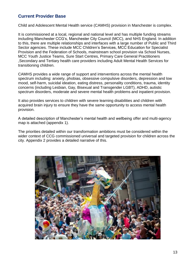## **Current Provider Base**

Child and Adolescent Mental Health service (CAMHS) provision in Manchester is complex.

It is commissioned at a local, regional and national level and has multiple funding streams including Manchester CCG's, Manchester City Council (MCC), and NHS England. In addition to this, there are multiple relationships and interfaces with a large number of Public and Third Sector agencies. These include MCC Children's Services, MCC Education for Specialist Provision and the Federation of Schools, mainstream school provision via School Nurses, MCC Youth Justice Teams, Sure Start Centres, Primary Care General Practitioners ,Secondary and Tertiary health care providers including Adult Mental Health Services for transitioning children.

CAMHS provides a wide range of support and interventions across the mental health spectrum including: anxiety, phobias, obsessive compulsive disorders, depression and low mood, self-harm, suicidal ideation, eating distress, personality conditions, trauma, identity concerns (including Lesbian, Gay, Bisexual and Transgender LGBT), ADHD, autistic spectrum disorders, moderate and severe mental health problems and inpatient provision.

It also provides services to children with severe learning disabilities and children with acquired brain injury to ensure they have the same opportunity to access mental health provision.

A detailed description of Manchester's mental health and wellbeing offer and multi-agency map is attached (appendix 1).

The priorities detailed within our transformation ambitions must be considered within the wider context of CCG commissioned universal and targeted provision for children across the city. Appendix 2 provides a detailed narrative of this.

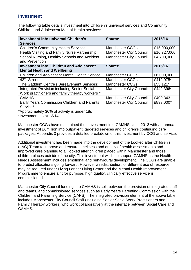## **Investment**

The following table details investment into Children's universal services and Community Children and Adolescent Mental Health services:

| <b>Investment into universal Children's</b><br><b>Services</b> | <b>Source</b>                  | 2015/16     |
|----------------------------------------------------------------|--------------------------------|-------------|
| <b>Children's Community Health Services</b>                    | <b>Manchester CCGs</b>         | £15,000,000 |
| Health Visiting and Family Nurse Partnership                   | <b>Manchester City Council</b> | £10,727,000 |
| School Nursing, Healthy Schools and Accident                   | <b>Manchester City Council</b> | £4,700,000  |
| and Prevention                                                 |                                |             |
| <b>Investment into Children and Adolescent</b>                 | <b>Source</b>                  | 2015/16     |
| <b>Mental Health and Wellbeing</b>                             |                                |             |
| <b>Children and Adolescent Mental Health Service</b>           | <b>Manchester CCGs</b>         | £6,000,000  |
| $\overline{4}2^{nd}$ Street                                    | <b>Manchester CCGs</b>         | £412,075*   |
| The Gaddum Centre (Bereavement Services)                       | <b>Manchester CCGs</b>         | £53,121*    |
| <b>Integrated Provision including Senior Social</b>            | <b>Manchester City Council</b> | £442,396*   |
| Work practitioners and family therapy workers *                |                                |             |
| <b>CAMHS</b>                                                   | <b>Manchester City Council</b> | £400,343    |
| Early Years Commission Children and Parents                    | <b>Manchester City Council</b> | £899,000*   |
| Service*                                                       |                                |             |

\*Approximately 30% of activity is under 18s

\*Investment as at 13/14

Manchester CCGs have maintained their investment into CAMHS since 2013 with an annual investment of £6million into outpatient, targeted services and children's continuing care packages. Appendix 3 provides a detailed breakdown of this investment by CCG and service.

Additional investment has been made into the development of the Looked after Children's (LAC) Team to improve and ensure timeliness and quality of health assessments and improved care planning to all looked after children placed within Manchester and those children places outside of the city. This investment will help support CAMHS as the Health Needs Assessment includes emotional and behavioural development. The CCGs are unable to predict allocations going forward. However a redistribution, or different use of resource, may be required under Living Longer Living Better and the Mental Health Improvement Programme to ensure a fit for purpose, high quality, clinically effective service is commissioned.

Manchester City Council funding into CAMHS is split between the provision of integrated staff and teams, and commissioned services such as Early Years Parenting Commission with the Children and Parenting Service (CAPS). The integrated provision element of the above table includes Manchester City Council Staff (including Senior Social Work Practitioners and Family Therapy workers) who work collaboratively at the interface between Social Care and CAMHS.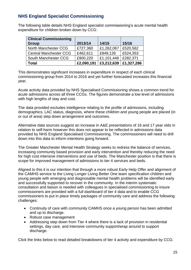# **NHS England Specialist Commissioning**

The following table details NHS England specialist commissioning's acute mental health expenditure for children broken down by CCG:

| <b>Clinical Commissioning</b><br><b>Group</b> | 2013/14    | 14/15      | 15/16      |
|-----------------------------------------------|------------|------------|------------|
| North Manchester CCG                          | £727,360   | £1,262,067 | £520,562   |
| <b>Central Manchester CCG</b>                 | £462,611   | £849,126   | £524,353   |
| South Manchester CCG                          | £900,220   | £1,101,446 | £282,371   |
| <b>Total</b>                                  | £2,090,191 | £3,212,639 | £1,327,286 |

This demonstrates significant increases in expenditure in respect of each clinical commissioning group from 2014 to 2016 and yet further forecasted increases this financial year.

Acute activity data provided by NHS Specialised Commissioning shows a common trend for acute admissions across all three CCGs. The figures demonstrate a low level of admissions with high lengths of stay and cost.

The data provided excludes intelligence relating to the profile of admissions, including demographics, LAC status, diagnosis, where these children and young people are placed (in or out of area) step down arrangement and outcomes.

Alternative data sources suggest an increase in A&E presentations of 16 and 17 year olds in relation to self-harm however this does not appear to be reflected in admissions data provided by NHS England Specialised Commissioning. The commissioners will need to drill down into this data to inform intentions going forward.

The Greater Manchester Mental Health Strategy seeks to redress the balance of services, increasing community based provision and early intervention and thereby reducing the need for high cost intensive interventions and use of beds. The Manchester position is that there is scope for improved management of admissions to tier 4 services and beds.

Aligned to this it is our intention that through a more robust Early Help Offer and alignment of the CAMHS service to the Living Longer Living Better One team specification children and young people with emerging and diagnosable mental health problems will be identified early and successfully supported to recover in the community. In the interim systematic consultation and liaison is needed with colleagues in specialised commissioning to insure commissioners are provided with a full dashboard of tier 4 data and to enable CCG commissioners to put in place timely packages of community care and address the following challenges:

- Continuity of care with community CAMHS once a young person has been admitted and up to discharge.
- Robust case management
- Addressing step down from Tier 4 where there is a lack of provision in residential settings, day care, and intensive community support/wrap around to support discharge.

Click the links below to read detailed breakdowns of tier 4 activity and expenditure by CCG: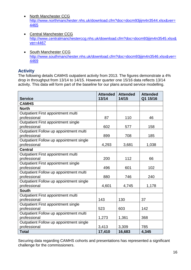- [North Manchester CCG](http://www.northmanchester.nhs.uk/download.cfm?doc=docm93jijm4n3544.xlsx&ver=4465) [http://www.northmanchester.nhs.uk/download.cfm?doc=docm93jijm4n3544.xlsx&ver=](http://www.northmanchester.nhs.uk/download.cfm?doc=docm93jijm4n3544.xlsx&ver=4465) [4465](http://www.northmanchester.nhs.uk/download.cfm?doc=docm93jijm4n3544.xlsx&ver=4465)
- [Central Manchester CCG](http://www.centralmanchesterccg.nhs.uk/download.cfm?doc=docm93jijm4n3545.xlsx&ver=4467) [http://www.centralmanchesterccg.nhs.uk/download.cfm?doc=docm93jijm4n3545.xlsx&](http://www.centralmanchesterccg.nhs.uk/download.cfm?doc=docm93jijm4n3545.xlsx&ver=4467) [ver=4467](http://www.centralmanchesterccg.nhs.uk/download.cfm?doc=docm93jijm4n3545.xlsx&ver=4467)
- [South Manchester CCG](http://www.southmanchester.nhs.uk/download.cfm?doc=docm93jijm4n3546.xlsx&ver=4469) [http://www.southmanchester.nhs.uk/download.cfm?doc=docm93jijm4n3546.xlsx&ver=](http://www.southmanchester.nhs.uk/download.cfm?doc=docm93jijm4n3546.xlsx&ver=4469) [4469](http://www.southmanchester.nhs.uk/download.cfm?doc=docm93jijm4n3546.xlsx&ver=4469)

## **Activity**

The following details CAMHS outpatient activity from 2013. The figures demonstrate a 4% drop in throughput from 13/14 to 14/15. However quarter one 15/16 data reflects 13/14 activity. This data will form part of the baseline for our plans around service modelling.

|                                         | <b>Attended</b> | <b>Attended</b> | <b>Attended</b> |
|-----------------------------------------|-----------------|-----------------|-----------------|
| <b>Service</b>                          | 13/14           | 14/15           | Q1 15/16        |
| <b>CAMHS</b>                            |                 |                 |                 |
| <b>North</b>                            |                 |                 |                 |
| Outpatient First appointment multi      |                 |                 |                 |
| professional                            | 87              | 110             | 46              |
| Outpatient First appointment single     |                 |                 |                 |
| professional                            | 602             | 577             | 158             |
| Outpatient Follow up appointment multi  |                 |                 |                 |
| professional                            | 899             | 708             | 185             |
| Outpatient Follow up appointment single |                 |                 |                 |
| professional                            | 4,293           | 3,681           | 1,038           |
| <b>Central</b>                          |                 |                 |                 |
| Outpatient First appointment multi      |                 |                 |                 |
| professional                            | 200             | 112             | 66              |
| Outpatient First appointment single     |                 |                 |                 |
| professional                            | 496             | 601             | 102             |
| Outpatient Follow up appointment multi  |                 |                 |                 |
| professional                            | 880             | 746             | 240             |
| Outpatient Follow up appointment single |                 |                 |                 |
| professional                            | 4,601           | 4,745           | 1,178           |
| <b>South</b>                            |                 |                 |                 |
| Outpatient First appointment multi      |                 |                 |                 |
| professional                            | 143             | 130             | 37              |
| Outpatient First appointment single     |                 |                 |                 |
| professional                            | 523             | 603             | 142             |
| Outpatient Follow up appointment multi  |                 |                 |                 |
| professional                            | 1,273           | 1,361           | 368             |
| Outpatient Follow up appointment single |                 |                 |                 |
| professional                            | 3,413           | 3,309           | 785             |
| <b>Total</b>                            | 17,410          | 16,683          | 4,345           |

Securing data regarding CAMHS cohorts and presentations has represented a significant challenge for the commissioners.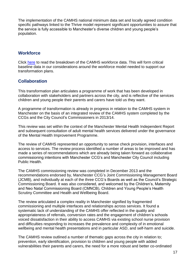The implementation of the CAMHS national minimum data set and locally agreed condition specific pathways linked to the Thrive model represent significant opportunities to assure that the service is fully accessible to Manchester's diverse children and young people's population.

## **Workforce**

Click [here](http://www.centralmanchesterccg.nhs.uk/download.cfm?doc=docm93jijm4n3541.xlsx&ver=4459) to read the breakdown of the CAMHS workforce data. This will form critical baseline data in our considerations around the workforce model needed to support our transformation plans.

## **Collaboration**

This transformation plan articulates a programme of work that has been developed in collaboration with stakeholders and partners across the city, and is reflective of the services children and young people their parents and carers have told us they want.

A programme of transformation is already in progress in relation to the CAMHS system in Manchester on the basis of an integrated review of the CAMHS system completed by the CCGs and the City Council's Commissioners in 2013/14.

This review was set within the context of the Manchester Mental Health Independent Report and subsequent consultation of adult mental health services delivered under the governance of the Mental Health Improvement Programme.

The review of CAMHS represented an opportunity to sense check provision, interfaces and access to services. The review process identified a number of areas to be improved and has made a series of recommendations which are already being taken forward as collaborative commissioning intentions with Manchester CCG's and Manchester City Council including Public Health.

The CAMHS commissioning review was completed in December 2013 and the recommendations endorsed by, Manchester CCG's Joint Commissioning Management Board (JCMB), and individually at each of the three CCG's Boards as well as the Council's Strategic Commissioning Board. It was also considered, and welcomed by the Children's, Maternity and Neo Natal Commissioning Board (CMNCB), Children and Young People's Health Scrutiny Committee and Health and Wellbeing Board.

The review articulated a complex reality in Manchester signified by fragmented commissioning and multiple interfaces and relationships across services. It found a systematic lack of understanding of the CAMHS offer reflected in the quality and appropriateness of referrals, conversion rates and the engagement of children's schools voiced dissatisfaction in their ability to access CAMHS via existing school nurse provision and difficulties responding to increases the prevalence and complexity of in emotional wellbeing and mental health presentations and in particular ASD, and self-harm and suicide.

The CAMHS review outlined a number of thematic gaps across the city in relation to; prevention, early identification, provision to children and young people with added vulnerabilities their parents and carers, the need for a more robust and better co-ordinated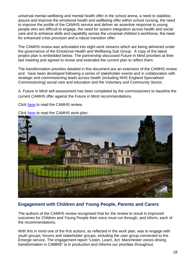universal mental wellbeing and mental health offer in the school arena, a need to stabilise, assure and improve the emotional health and wellbeing offer within school nursing, the need to improve the profile of the CAMHS service and deliver an assertive response to young people who are difficult to engage, the need for system integration across health and social care and to enhance skills and capability across the universal children's workforce, the need for enhanced crisis provision and a robust transition offer.

The CAMHS review was articulated into eight work streams which are being delivered under the governance of the Emotional Health and Wellbeing Sub Group. A copy of the latest project plan is embedded below. The partnership discussed Future in Mind priorities at their last meeting and agreed to revise and extended the current plan to reflect them.

The transformation priorities detailed in this document are an extension of the CAMHS review and have been developed following a series of stakeholder events and in collaboration with strategic and commissioning leads across health (including NHS England Specialised Commissioning) social care and education and the Voluntary and Community Sector.

A Future in Mind self-assessment has been completed by the commissioners to baseline the current CAMHS offer against the Future in Mind recommendations.

Click [here](http://www.centralmanchesterccg.nhs.uk/download.cfm?doc=docm93jijm4n3543.doc&ver=4462) to read the CAMHS review.



Click [here](http://www.centralmanchesterccg.nhs.uk/download.cfm?doc=docm93jijm4n3542.doc&ver=4461) to read the CAMHS work-plan.

## **Engagement with Children and Young People, Parents and Carers**

The authors of the CAMHS review recognised that for the review to result in improved outcomes for Children and Young People their voice must run through, and inform, each of the recommendations.

With this in mind one of the first actions, as reflected in the work plan, was to engage with youth groups, forums and stakeholder groups, including the user group connected to the Emerge service. The engagement report "Listen, Learn, Act: Manchester voices driving transformation in CAMHS" is in production and informs our priorities throughout.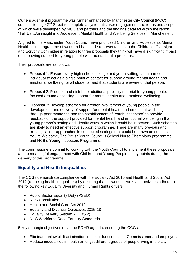Our engagement programme was further enhanced by Manchester City Council (MCC) commissioning 42<sup>nd</sup> Street to complete a systematic user engagement, the terms and scope of which were developed by MCC and partners and the findings detailed within the report "Tell Us…An insight into Adolescent Mental Health and Wellbeing Services in Manchester".

Aligned to this Manchester Youth Council have prioritised Children and Adolescents Mental Health in its programme of work and has made representations to the Children's Oversight and Scrutiny Committee in relation to three proposals they think will have a significant impact on improving support for young people with mental health problems.

Their proposals are as follows:

- Proposal 1: Ensure every high school, college and youth setting has a named individual to act as a single point of contact for support around mental health and emotional wellbeing for all students, and that students are aware of that person.
- Proposal 2: Produce and distribute additional publicity material for young people, focused around accessing support for mental health and emotional wellbeing.
- Proposal 3: Develop schemes for greater involvement of young people in the development and delivery of support for mental health and emotional wellbeing through peer mentoring and the establishment of "youth inspectors" to provide feedback on the support provided for mental health and emotional wellbeing in that young person's setting and identify ways in which it could be improved. Such schemes are likely to need an effective support programme. There are many previous and existing similar approaches in connected settings that could be drawn on such as You're Welcome, The British Youth Council's School Nurse Champions programme and NCB's Young Inspectors Programme.

The commissioners commit to working with the Youth Council to implement these proposals and to meaningful engagement with Children and Young People at key points during the delivery of this programme

# **Equality and Health Inequalities**

The CCGs demonstrate compliance with the Equality Act 2010 and Health and Social Act 2012 (reducing health inequalities) by ensuring that all work streams and activities adhere to the following key Equality Diversity and Human Rights drivers:

- Public Sector Equality Duty (PSED)
- NHS Constitution
- Health and Social Care Act 2012
- **Equality and Diversity Objectives 2015-18**
- Equality Delivery System 2 (EDS 2)
- NHS Workforce Race Equality Standards

5 key strategic objectives drive the EDHR agenda, ensuring the CCGs:

- Eliminate unlawful discrimination in all our functions as a Commissioner and employer.
- Reduce inequalities in health amongst different groups of people living in the city.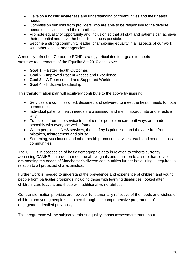- Develop a holistic awareness and understanding of communities and their health needs.
- Commission services from providers who are able to be responsive to the diverse needs of individuals and their families.
- Promote equality of opportunity and inclusion so that all staff and patients can achieve their potential and have the best life chances possible.
- Become a strong community leader, championing equality in all aspects of our work with other local partner agencies.

A recently refreshed Corporate EDHR strategy articulates four goals to meets statutory requirements of the Equality Act 2010 as follows:

- **Goal 1**: Better Health Outcomes
- **Goal 2**: Improved Patient Access and Experience
- **Goal 3:** A Represented and Supported Workforce
- **Goal 4:** Inclusive Leadership

This transformation plan will positively contribute to the above by insuring:

- Services are commissioned, designed and delivered to meet the health needs for local communities.
- Individual patients' health needs are assessed, and met in appropriate and effective ways.
- Transitions from one service to another, for people on care pathways are made smoothly with everyone well informed.
- When people use NHS services, their safety is prioritised and they are free from mistakes, mistreatment and abuse.
- Screening, vaccination and other health promotion services reach and benefit all local communities.

The CCG is in possession of basic demographic data in relation to cohorts currently accessing CAMHS. In order to meet the above goals and ambition to assure that services are meeting the needs of Manchester's diverse communities further base lining is required in relation to all protected characteristics.

Further work is needed to understand the prevalence and experience of children and young people from particular groupings including those with learning disabilities, looked after children, care leavers and those with additional vulnerabilities.

Our transformation priorities are however fundamentally reflective of the needs and wishes of children and young people s obtained through the comprehensive programme of engagement detailed previously.

This programme will be subject to robust equality impact assessment throughout.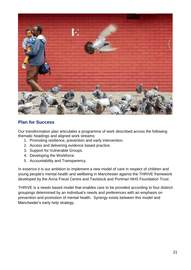

## **Plan for Success**

Our transformation plan articulates a programme of work described across the following thematic headings and aligned work streams:

- 1. Promoting resilience, prevention and early intervention.
- 2. Access and delivering evidence based practice.
- 3. Support for Vulnerable Groups.
- 4. Developing the Workforce.
- 5. Accountability and Transparency.

In essence it is our ambition to implement a new model of care in respect of children and young people's mental health and wellbeing in Manchester against the THRIVE framework developed by the Anna Freud Centre and Tavistock and Portman NHS Foundation Trust .

THRIVE is a needs based model that enables care to be provided according to four distinct groupings determined by an individual's needs and preferences with an emphasis on prevention and promotion of mental health. Synergy exists between this model and Manchester's early help strategy.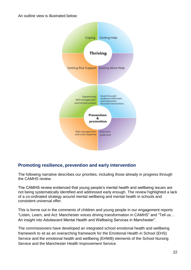An outline view is illustrated below:



# **Promoting resilience, prevention and early intervention**

The following narrative describes our priorities, including those already in progress through the CAMHS review.

The CAMHS review evidenced that young people's mental health and wellbeing issues are not being systematically identified and addressed early enough. The review highlighted a lack of a co-ordinated strategy around mental wellbeing and mental health in schools and consistent universal offer.

This is borne out in the comments of children and young people in our engagement reports "Listen, Learn, and Act: Manchester voices driving transformation in CAMHS" and "Tell us… An insight into Adolescent Mental Health and Wellbeing Services in Manchester".

The commissioners have developed an integrated school emotional health and wellbeing framework to sit as an overarching framework for the Emotional Health in School (EHS) Service and the emotional health and wellbeing (EHWB) elements of the School Nursing Service and the Manchester Health Improvement Service.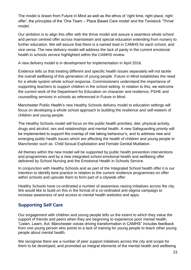The model is drawn from Future in Mind as well as the ethos of 'right time, right place, right offer', the principles of the 'One Team – Place Based Care model' and the Tavistock 'Thrive' model.

Our ambition is to align this offer with the thrive model and assure a seamless whole school and person centred offer across mainstream and special education extending from nursery to further education. We will assure that there is a named lead in CAMHS for each school, and vice versa. The new delivery model will address the lack of parity in the current emotional health in schools service highlighted within the CAMHS review.

A new delivery model is in development for implementation in April 2016.

Evidence tells us that treating different and specific health issues separately will not tackle the overall wellbeing of this generation of young people. Future in Mind establishes the need for a whole system whole school response. Commissioners understand the importance of supporting teachers to support children in the school setting. In relation to this, we welcome the current work of the Department for Education on character and resilience, PSHE and counselling services in schools as referenced in Future in Mind.

Manchester Public Health's new Healthy Schools delivery model to education settings will focus on developing a whole school approach to building the resilience and self-esteem of children and young people.

The Healthy Schools model will focus on the public health priorities; diet, physical activity, drugs and alcohol, sex and relationships and mental health. A new Safeguarding priority will be implemented to support the overlap of risk taking behaviour's, and to address new and emerging public health issues which are affecting the health of children and young people in Manchester such as Child Sexual Exploitation and Female Genital Mutilation.

All themes within the new model will be supported by public health prevention interventions and programmes and by a new integrated school emotional health and wellbeing offer delivered by School Nursing and the Emotional Health in Schools Service.

In conjunction with Healthy Schools and as part of the Integrated School health offer it is our intention to identify best practice in relation to the current resilience programmes on offer within schools and upscale them to form part of a citywide offer.

Healthy Schools have co-ordinated a number of awareness raising initiatives across the city. We would like to build on this in the format of a co-ordinated anti-stigma campaign to increase awareness of and access to mental health websites and apps.

# **Supporting Self Care**

Our engagement with children and young people tells us the extent to which they value the support of friends and peers when they are beginning to experience poor mental health. "Listen, Learn, Act: Manchester voices driving transformation in CAMHS" includes feedback from one young person who points to a lack of training for young people to teach other young people about mental health.

We recognise there are a number of peer support initiatives across the city and scope for them to be developed, and promoted as integral elements of the mental health and wellbeing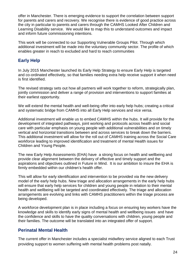offer in Manchester. There is emerging evidence to support the correlation between support for parents and carers and recovery. We recognise there is evidence of good practice across the city in particular to parents and carers through the CAMHS Looked After Children and Learning Disability service. We would like to map this to understand outcomes and impact and inform future commissioning intentions.

This work will be connected to our Supporting Vulnerable Groups Pilot. Through which additional investment will be made into the voluntary community sector. The profile of which enables greater in reach to excluded and hard to reach communities

# **Early Help**

In July 2015 Manchester launched its Early Help Strategy to ensure Early Help is targeted and co-ordinated effectively, so that families needing extra help receive support it when need is first identified.

The revised strategy sets out how all partners will work together to reform, strategically plan, jointly commission and deliver a range of provision and interventions to support families at their earliest opportunity.

We will extend the mental health and well-being offer into early help hubs; creating a critical and systematic bridge from CAMHS into all Early Help services and vice versa.

Additional investment will enable us to embed CAMHS within the hubs. It will provide for the development of integrated pathways, joint working and protocols across health and social care with particular emphasis on young people with additional vulnerabilities and on timely vertical and horizontal transitions between and across services to break down the barriers. This additional investment will allow for the roll out of CAMHS training across the Social Care workforce leading to improved identification and treatment of mental Health issues for Children and Young People.

The new Early Help Assessments (EHA) have a strong focus on health and wellbeing and provide clear alignment between the delivery of effective and timely support and the aspirations and objectives outlined in Future in Mind. It is our ambition to insure the EHA is firmly embedded within our children's health offer.

This will allow for early identification and intervention to be provided via the new delivery model of the early help hubs. New triage and allocation arrangements in the early help hubs will ensure that early help services for children and young people in relation to their mental health and wellbeing will be targeted and coordinated effectively. The triage and allocation arrangements are evolving and links with CAMHS practitioners within the triage process are being developed.

A workforce development plan is in place including a focus on ensuring key workers have the knowledge and skills to identify early signs of mental health and wellbeing issues and have the confidence and skills to have the quality conversations with children, young people and their families. The outcome will be translated into an integrated offer of support.

## **Perinatal Mental Health**

The current offer in Manchester includes a specialist midwifery service aligned to each Trust providing support to women suffering with mental health problems post natally.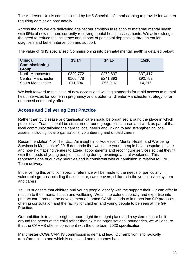The Anderson Unit is commissioned by NHS Specialist Commissioning to provide for women requiring admission post natally.

Across the city we are delivering against our ambition in relation to maternal mental health with 95% of new mothers currently receiving mental health assessments. We acknowledge the need to reduce the incidence and impact of postnatal depression through earlier diagnosis and better intervention and support.

| The value of NHS specialised Commissioning into perinatal mental health is detailed below: |  |  |
|--------------------------------------------------------------------------------------------|--|--|
|                                                                                            |  |  |

| <b>Clinical</b><br>Commissioning<br><b>Group</b> | 13/14    | 14/15    | 15/16   |
|--------------------------------------------------|----------|----------|---------|
| <b>North Manchester</b>                          | £229,772 | £279,837 | £37,417 |
| <b>Central Manchester</b>                        | £165,478 | £241,893 | £92,752 |
| South Manchester                                 | £11,594  | £56,916  | £4,216  |

We look forward to the issue of new access and waiting standards for rapid access to mental health services for women in pregnancy and a potential Greater Manchester strategy for an enhanced community offer.

## **Access and Delivering Best Practice**

Rather than by disease or organisation care should be organised around the place in which people live. Teams should be structured around geographical areas and work as part of that local community tailoring the care to local needs and linking to and strengthening local assets, including local organisations, volunteering and unpaid carers.

Recommendation 4 of "Tell Us... An insight into Adolescent Mental Health and Wellbeing Services in Manchester" 2015 demands that we insure young people have bespoke, private and non-stigmatising venues to attend appointments and reconfigure services so that they fit with the needs of young people, including during evenings and at weekends. This represents one of our key priorities and is consistent with our ambition in relation to ONE Team delivery.

In delivering this ambition specific reference will be made to the needs of particularly vulnerable groups including those in care, care leavers, children in the youth justice system and carers.

Tell Us suggests that children and young people identify with the support their GP can offer in relation to their mental health and wellbeing. We aim to extend capacity and expertise into primary care through the development of named CAMHs leads to in reach into GP practices, offering consultation and the facility for children and young people to be seen at the GP Practice.

Our ambition is to assure right support, right time, right place and a system of care built around the needs of the child rather than existing organisational boundaries, we will ensure that the CAMHS offer is consistent with the one team 2020 specification.

Manchester CCGs CAMHS commission is demand lead. Our ambition is to radically transform this to one which is needs led and outcomes based.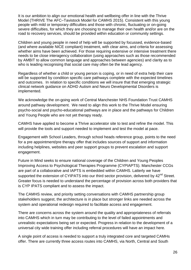It is our ambition to align our emotional health and wellbeing offer in line with the Thrive Model (THRIVE The AFC–Tavistock Model for CAMHS 2015). Consistent with this young people with mild or temporary difficulties and those with chronic, fluctuating or on-going severe difficulties, for which they are choosing to manage their own health and/or are on the road to recovery services, should be provided within education or community settings.

Children and young people in need of help will be supported by focussed, evidence-based (and where available NICE compliant) treatment, with clear aims, and criteria for assessing whether aims have been achieved. For those requiring extensive or intensive treatment there needs to be close interagency collaboration (using approaches such as those recommended by AMBIT to allow common language and approaches between agencies) and clarity as to who is leading recognising that social care may often be the lead agency.

Regardless of whether a child or young person is coping, or in need of extra help their care will be supported by condition specific care pathways complete with the expected timelines and outcomes. In relation to specific conditions we will insure that that emerging strategic clinical network guidance on ADHD Autism and Neuro Developmental Disorders is implemented.

We acknowledge the on-going work of Central Manchester NHS Foundation Trust CAMHS around pathway development. We need to align this work to the Thrive Model ensuring psycho-social and psycho-educational pathways are in place and the pathways for Children and Young People who are not yet therapy ready.

CAMHS have applied to become a Thrive accelerator site to test and refine the model. This will provide the tools and support needed to implement and test the model at pace.

Engagement with School Leaders, through school heads reference group, points to the need for a pre appointment/pre therapy offer that includes sources of support and information including helplines, websites and peer support groups to prevent escalation and support engagement.

Future in Mind seeks to ensure national coverage of the Children and Young Peoples Improving Access to Psychological Therapies Programme (CYPIAPTS). Manchester CCGs are part of a collaborative and IAPTS is embedded within CAMHS. Latterly we have supported the extension of CYIPATS into our third sector provision, delivered by 42<sup>nd</sup> Street. Greater focus is needed to understand the percentage of provision across both providers that is CYP IPATS compliant and to assess the impact.

The CAMHS review, and priority setting conversations with CAMHS partnership group stakeholders suggest, the architecture is in place but stronger links are needed across the system and operational redesign required to facilitate access and engagement.

There are concerns across the system around the quality and appropriateness of referrals into CAMHS which in turn may be contributing to the level of failed appointments and unrealistic expectations being set or expected. Progress in relation to the development of a universal city wide training offer including referral procedures will have an impact here.

A single point of access is needed to support a truly integrated core and targeted CAMHs offer. There are currently three access routes into CAMHS, via North, Central and South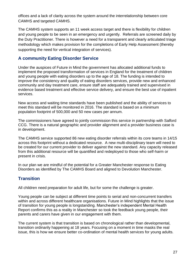offices and a lack of clarity across the system around the interrelationship between core CAMHS and targeted CAMHS.

The CAMHS system supports an 11 week access target and there is flexibility for children and young people to be seen in an emergency and urgently. Referrals are screened daily by the Duty Practitioner. There is however a need for a transparent and clearly articulated triage methodology which makes provision for the completions of Early Help Assessment (thereby supporting the need for vertical integration of services).

## **A community Eating Disorder Service**

Under the auspices of Future in Mind the government has allocated additional funds to implement the proposed transformation of services in England for the treatment of children and young people with eating disorders up to the age of 18. The funding is intended to improve the consistency and quality of eating disorders services, provide new and enhanced community and day treatment care, ensure staff are adequately trained and supervised in evidence based treatment and effective service delivery, and ensure the best use of inpatient services.

New access and waiting time standards have been published and the ability of services to meet this standard will be monitored in 2016. The standard is based on a minimum population footprint of 500,000 and 50 new cases per annum.

The commissioners have agreed to jointly commission this service in partnership with Salford CCG. There is a natural geographic and provider alignment and a provider business case is in development.

The CAMHS service supported 86 new eating disorder referrals within its core teams in 14/15 across this footprint without a dedicated resource. A new multi-disciplinary team will need to be created for our current provider to deliver against the new standard. Any capacity released from this additional resource will be quantified and redeployed to those who self-harm or present in crisis.

In our plan we are mindful of the potential for a Greater Manchester response to Eating Disorders as identified by The CAMHS Board and aligned to Devolution Manchester.

# **Transition**

All children need preparation for adult life, but for some the challenge is greater.

Young people can be subject at different time points to serial and non-concurrent transfers within and across different healthcare organisations. Future in Mind highlights that the issue of transition for young people is longstanding. Manchester's independent Mental Health Report confirms this as a reality in Manchester so took the feedback young people, their parents and carers have given in our engagement with them.

The current system is that transition is based on chronological rather than developmental, transition ordinarily happening at 18 years. Focusing on a moment in time masks the real issue, this is how we ensure better co-ordination of mental health services for young adults.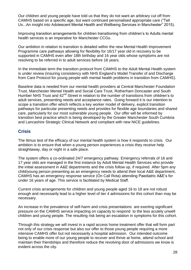Our children and young people have told us that they do not want an arbitrary cut off from CAMHS based on a specific age, but want continued personalised appropriate care ("Tell Us...An insight into Adolescent Mental Health and Wellbeing Services in Manchester" 2015).

Improving transition arrangements for children transitioning from children's to Adults mental health services is an imperative for Manchester CCGs.

Our ambition in relation to transition is detailed within the new Mental Health Improvement Programme care pathways allowing for flexibility for 16/17 year old in recovery to be supported in CAMHS even after 18th birthday and 16 year olds whose symptoms are not resolving to be referred in to adult services before 18 years.

In the immediate term the transition protocol from CAMHS to the Adult Mental Health system is under review (insuring consistency with NHS England's Model Transfer of and Discharge from Care Protocol for young people with mental health problems in transition from CAMHS).

Baseline data is needed from our mental health providers at Central Manchester Foundation Trust, Manchester Mental Health and Social Care Trust, Rotherham Doncaster and South Humber NHS Trust and 42<sup>nd</sup> Street in relation to the number of transitions from children's to adult services, presenting needs and acceptance rates. Going forward it is our intention to scope a transition offer which reflects a key worker model of delivery, explicit transition pathways for particular presenting needs and provides for flexible age boundaries and shared care, particularly for our most vulnerable young people. Our offer will be informed by transition best practice which is being developed by the Greater Manchester South Cumbria and Lancashire Strategic Clinical Network and compliant with new NICE guidelines.

## **Crisis**

The litmus test of the efficacy of our mental health system is how it responds to crisis. Our ambition is to ensure that when a young person experiences a crisis they receive help straightaway, day or night in a safe place.

The system offers a co-ordinated 24/7 emergency pathway. Emergency referrals of 16 and 17 year olds are managed in the first instance by Adult Mental Health Services who provide the initial assessment in A&E departments and the crisis follow up, if required. After 5pm any child/young person presenting as an emergency needs to attend their local A&E department, CAMHS has an emergency response service (On Call Rota) attending Paediatric A&E's for under 16 years of age. This service is facilitated by Medical Staff.

Current crisis arrangements for children and young people aged 16 to 18 are not robust enough and necessarily lead to a higher level of tier 4 admissions for this cohort than may be necessary.

An increase in the prevalence of self-harm and crisis presentations are exerting significant pressure on the CAMHS service impacting on capacity to respond to the less acutely unwell children and young people. The resulting risk being an escalation in symptoms for this cohort.

Through this strategy we will invest in a rapid access home treatment offer that will form part not only of our crisis response but also our offer to those young people requiring a more intensive CAMHS offer but not necessarily a hospital admission. Our intended outcome being to enable more of our young people to recover and thrive at home, attend school and maintain their friendships and therefore reduce the revolving door of admissions we know is evident across the city.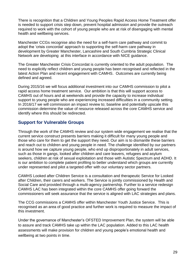There is recognition that a Children and Young Peoples Rapid Access Home Treatment offer is needed to support crisis step down, prevent hospital admission and provide the outreach required to work with the cohort of young people who are at risk of disengaging with mental health and wellbeing services.

Manchester CCGs recognise also the need for a self-harm care pathway and commit to adopt the 'crisis concordat' approach to supporting the self-harm care pathway in development by Greater Manchester, Lancashire and South Cumbria Strategic Clinical Network are developing at this interface in accordance with NICE guidance.

The Greater Manchester Crisis Concordat is currently oriented to the adult population. The need to explicitly reflect children and young people has been recognised and reflected in the latest Action Plan and recent engagement with CAMHS. Outcomes are currently being defined and agreed.

During 2015/16 we will focus additional investment into our CAMHS commission to pilot a rapid access home treatment service. Our ambition is that this will support access to CAMHS out of hours and at weekends and provide the capacity to increase individual support to young people who are experiencing increased difficulties in a community setting. In 2016/17 we will commission an impact review to; baseline and potentially upscale this commission determine the value of resource released across the core CAMHS service and identify where this should be redirected.

# **Support for Vulnerable Groups**

Through the work of the CAMHS review and our system wide engagement we realise that the current service construct presents barriers making it difficult for many young people and those who care for them to get the support they need. Our aim is to dismantle these barriers and reach out to children and young people in need. The challenge identified by our partners is around how we capture young people, who end up disproportionately in adult services, such as those in gangs, looked after children and care leavers, refugees and asylum seekers, children at risk of sexual exploitation and those with Autistic Spectrum and ADHD. It is our ambition to complete patient profiling to better understand which groups are currently under represented and pilot a targeted offer with our voluntary sector partners.

CAMHS Looked after Children Service is a consultation and therapeutic Service for Looked after Children, their carers and workers. The Service is jointly commissioned by Health and Social Care and provided through a multi-agency partnership. Further to a service redesign CAMHS LAC has been integrated within the core CAMHS offer going forward the commissioners will seek assurance that the service is aligned with LAC strategies and plans.

The CCG commissions a CAMHS offer within Manchester Youth Justice Service. This is recognised as an area of good practice and further work is required to measure the impact of this investment.

Under the governance of Manchester's OFSTED Improvement Plan, the system will be able to assure and track CAMHS take up within the LAC population. Added to this LAC health assessments will make provision for children and young people's emotional health and wellbeing at two points in time.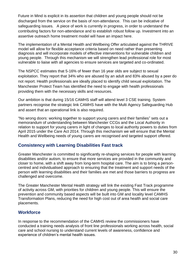Future in Mind is explicit in its assertion that children and young people should not be discharged from the service on the basis of non-attendance. This can be indicative of safeguarding issues. A piece of work is currently in progress, in order to understand the contributing factors for non-attendance and to establish robust follow up. Investment into an assertive outreach home treatment model will have an impact here.

The implementation of a Mental Health and Wellbeing Offer articulated against the THRIVE model will allow for flexible acceptance criteria based on need rather than presenting diagnosis and will incorporate models of effective interventions for vulnerable children and young people. Through this mechanism we will strengthen lead professional role for most vulnerable to liaise with all agencies to ensure services are targeted and co-ordinated.

The NSPCC estimates that 5-16% of fewer than 16 year olds are subject to sexual exploitation. They report that 34% who are abused by an adult and 83% abused by a peer do not report. Health professionals are ideally placed to identify child sexual exploitation. The Manchester Protect Team has identified the need to engage with health professionals providing them with the necessary skills and resources.

Our ambition is that during 15/16 CAMHS staff will attend level 3 CSE training. System partners recognise the strategic link CAMHS have with the Multi Agency Safeguarding Hub and assert that an operational link is also required.

"No wrong doors: working together to support young carers and their families" sets out a memorandum of understanding between Manchester CCGs and the Local Authority in relation to support for young carers in light of changes to local authority powers to duties from April 2015 under the Care Act 2014. Through this mechanism we will ensure that the Mental Health and Wellbeing needs of young carers are recognised and targeted support offered.

# **Consistency with Learning Disabilities Fast track**

Greater Manchester is committed to significantly re-shaping services for people with learning disabilities and/or autism, to ensure that more services are provided in the community and closer to home, with a shift away from long-term hospital care. The aim is to bring a personcentred and individualised approach to ensuring that the treatment and support needs of the person with learning disabilities and their families are met and those barriers to progress are challenged and overcome.

The Greater Manchester Mental Health strategy will link the existing Fast Track programme of activity across GM, with priorities for children and young people. This will ensure the prevention and community based aspects will be built into GM and locality level CAMHS Transformation Plans, reducing the need for high cost out of area health and social care placements.

# **Workforce**

In response to the recommendation of the CAMHS review the commissioners have conducted a training needs analysis of front line professionals working across health, social care and school nursing to understand current levels of awareness, confidence and experience of children's mental health issues.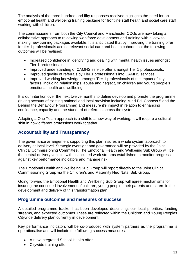The analysis of the three hundred and fifty responses received highlights the need for an emotional health and wellbeing training package for frontline staff health and social care staff working with children.

The commissioners from both the City Council and Manchester CCGs are now taking a collaborative approach to reviewing workforce development and training with a view to making new training packages available. It is anticipated that by improving the training offer for tier 1 professionals across relevant social care and health cohorts that the following outcomes will be realised:

- Increased confidence in identifying and dealing with mental health issues amongst Tier 1 professionals.
- Improved understanding of CAMHS service offer amongst Tier 1 professionals.
- Improved quality of referrals by Tier 1 professionals into CAMHS services.
- Improved working knowledge amongst Tier 1 professionals of the impact of key factors, including relationships, abuse and neglect, on children and young people's emotional health and wellbeing.

It is our intention over the next twelve months to define develop and promote the programme (taking account of existing national and local provision including Mind Ed, Connect 5 and the Behind the Behaviour Programme) and measure it's impact in relation to enhancing confidence, capacity and the standard of referrals across the system.

Adopting a One Team approach is a shift to a new way of working. It will require a cultural shift in how different professions work together.

## **Accountability and Transparency**

The governance arrangement supporting this plan insures a whole system approach to delivery at local level. Strategic oversight and governance will be provided by the Joint Clinical Commissioning Committee. The Emotional Health and Wellbeing Sub Group will be the central delivery vehicle, with associated work streams established to monitor progress against key performance indicators and manage risk.

The Emotional Health and Wellbeing Sub Group will report directly to the Joint Clinical Commissioning Group via the Children's and Maternity Neo Natal Sub Group.

Going forward the Emotional Health and Wellbeing Sub Group will agree mechanisms for insuring the continued involvement of children, young people, their parents and carers in the development and delivery of this transformation plan.

### **Programme outcomes and measures of success**

A detailed programme tracker has been developed describing; our local priorities, funding streams, and expected outcomes.These are reflected within the Children and Young Peoples Citywide delivery plan currently in development.

Key performance indicators will be co-produced with system partners as the programme is operationalise and will include the following success measures:

- A new Integrated School Health offer
- Citywide training offer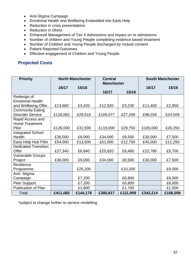- Anti-Stigma Campaign
- Emotional Health and Wellbeing Embedded into Early Help
- Reduction in crisis presentations
- Reduction in DNAs
- Enhanced Management of Tier 4 Admissions and impact on re admissions
- Number of children and Young People completing evidence based treatment
- Number of Children and Young People discharged by mutual consent
- Patient Reported Outcomes
- **Effective engagement of Children and Young People**

## **Projected Costs**

| <b>Priority</b>             | <b>North Manchester</b> |          | <b>Central</b>    |          | <b>South Manchester</b> |          |
|-----------------------------|-------------------------|----------|-------------------|----------|-------------------------|----------|
|                             | 16/17                   | 15/16    | <b>Manchester</b> |          | 16/17                   | 15/16    |
|                             |                         |          | 16/17             | 15/16    |                         |          |
| Redesign of                 |                         |          |                   |          |                         |          |
| <b>Emotional Health</b>     |                         |          |                   |          |                         |          |
| and Wellbeing Offer         | £13,680                 | £3,420   | £12,920           | £3,230   | £11,400                 | £2,850   |
| <b>Community Eating</b>     |                         |          |                   |          |                         |          |
| <b>Disorder Service</b>     | £118,062                | £29,516  | £109,077          | £27,269  | £98,034                 | £24,509  |
| Rapid Access and            |                         |          |                   |          |                         |          |
| <b>Home Treatment</b>       |                         |          |                   |          |                         |          |
| Pilot                       | £126,000                | £31,500  | £119,000          | £29,750  | £105,000                | £26,250  |
| <b>Integrated School</b>    |                         |          |                   |          |                         |          |
| Health                      | £36,000                 | £9,000   | £34,000           | £8,500   | £30,000                 | £7,500   |
| Early Help Hub Pilot        | £54,000                 | £13,500  | £51,000           | £12,750  | £45,000                 | £11,250  |
| <b>Dedicated Transition</b> |                         |          |                   |          |                         |          |
| Offer                       | £27,340                 | £6,840   | £25,820           | £6,460   | £22,780                 | £5,700   |
| <b>Vulnerable Groups</b>    |                         |          |                   |          |                         |          |
| Project                     | £36,000                 | £9,000   | £34,000           | £8,500   | £30,000                 | £7,500   |
| Resilience                  |                         |          |                   |          |                         |          |
| Programme                   |                         | £25,200  |                   | £10,200  |                         | £9,000   |
| Anti- Stigma                |                         |          |                   |          |                         |          |
| Campaign                    |                         | £7,200   |                   | £6,800   |                         | £6,000   |
| Peer Support                |                         | £7,200   |                   | £6,800   |                         | £6,000   |
| <b>Publication of Plan</b>  |                         | £1,800   |                   | £1,700   |                         | £1,500   |
| Total                       | £411,082                | £144,176 | £385,817          | £121,959 | £342,214                | £108,059 |

\*subject to change further to service modelling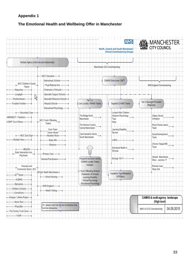# **Appendix 1**

# **The Emotional Health and Wellbeing Offer in Manchester**

|                                                 |                                                                              |                                                                         | <b>NHS</b><br>North, Central and South Manchester<br><b>Clinical Commissioning Groups</b> | <b>O</b> MANCHESTER<br>City council       |
|-------------------------------------------------|------------------------------------------------------------------------------|-------------------------------------------------------------------------|-------------------------------------------------------------------------------------------|-------------------------------------------|
| Multiple Agency Intercsces and relationships    |                                                                              |                                                                         | Manchester CCG Commissioning                                                              |                                           |
|                                                 |                                                                              |                                                                         |                                                                                           |                                           |
| MCC Children's Social<br>Teams                  | -MCC Education-<br>-Mainstream Schools-<br>* Pupil Referral Unit-            |                                                                         | CAMHS Direxiorate CMFT                                                                    | NHS England Commissioning                 |
| Harpurhey-                                      | Federation of Schools-                                                       |                                                                         |                                                                                           |                                           |
| -Longsight                                      | Specialist Support Schools                                                   |                                                                         |                                                                                           |                                           |
| rgi<br>Wythernshawe-<br>roubled Families        | Specialist Resource Schools-<br>Hospital Schools-<br>-Educational Psychology | $T = 2-3$<br>Core Locality &AMHS Teams x                                | Targeted CAMHS Teams<br>x.                                                                | Tier 4 Specialist Provision<br>(Regional) |
| -Secondary Care-                                |                                                                              |                                                                         | Looked After Children                                                                     |                                           |
| <b>I-MMH&amp;SCT-Transition</b>                 |                                                                              | The Bridge North                                                        | Adoption Psychology                                                                       | Galaxy House                              |
| ⊩CMHT Out of Hours                              | MCC Youth Offending                                                          | Manchester                                                              | Tops<br>Keep                                                                              | In-Patient                                |
|                                                 | Teams                                                                        | The Winnicot Centre                                                     |                                                                                           | Psych Social Liaison                      |
|                                                 | Court Team                                                                   | Central Manchester                                                      | Learning Disability                                                                       | Team                                      |
|                                                 | Vector House                                                                 | Carol Kendrick Centre                                                   | Service                                                                                   | Social Development                        |
| -MCC Sure Start-                                | Abraham Moss                                                                 | South Manchester                                                        |                                                                                           | Team                                      |
| Multiple Sites-                                 | Daisy Mill                                                                   |                                                                         | CAPS-                                                                                     |                                           |
|                                                 | -Sharston-                                                                   |                                                                         | Emotional Health in                                                                       | Chronic Fatigue/ME<br>Team                |
| -RDASH-<br>Early Intervention into<br>Psychosis | Primary Care-                                                                |                                                                         | Schools                                                                                   |                                           |
|                                                 | -General Practitioners                                                       | Integrated provision across<br>CAMHS Locality Teams                     | -Emerge 16/17-                                                                            | Greater Manchester<br>West - Junction 17  |
| Voluntary and<br>Community Sector (N1)          |                                                                              | includes:                                                               |                                                                                           | Pennine Care<br>Hope Unit                 |
| 42 <sup>nd</sup> Street-                        | Public Health Manchester-e<br>-School Nursing-                               | Youth Offending Workers<br>Federation of Schools<br>Learning Disability | Academic Team/Research<br>& Projects                                                      |                                           |
| ACMHS-                                          |                                                                              | Clinical Psychology                                                     |                                                                                           |                                           |
| -Barnardos-                                     | NHS England-                                                                 | Educational Psychology                                                  |                                                                                           |                                           |
| Children's Society<br>ConneXions-               | Health Visiting-                                                             |                                                                         |                                                                                           |                                           |
| Eclypse / Lifeline Project-                     |                                                                              |                                                                         |                                                                                           | CAMHS & multi-agency landscape            |
| Home Start-                                     |                                                                              |                                                                         |                                                                                           | (High level)                              |
| Place2Be-                                       | N1: please note that this list is indicative only<br>and not exhaustive      |                                                                         |                                                                                           | 04.09.2015<br>MMC & CCG Commissioning     |
| —The Factory Youth Zone— ♦<br>YASP-             |                                                                              |                                                                         |                                                                                           |                                           |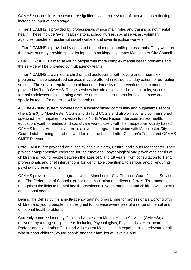CAMHS services in Manchester are signified by a tiered system of interventions reflecting increasing input at each stage.

- Tier 1 CAMHS is provided by professionals whose main roles and training is not mental health. These include GPs, health visitors, school nurses, social services, voluntary agencies, teachers, residential social workers and juvenile justice workers.

- Tier 2 CAMHS is provided by specialist trained mental health professionals. They work on their own but may provide specialist input into multiagency teams Manchester City Council.

- Tier 3 CAMHS is aimed at young people with more complex mental health problems and the service will be provided by multiagency teams

- Tier 4 CAMHS are aimed at children and adolescents with severe and/or complex problems. These specialised services may be offered in residential, day patient or out-patient settings. The service requires a combination or intensity of interventions that cannot be provided by Tier 3 CAMHS. These services include adolescent in-patient units, secure forensic adolescent units, eating disorder units, specialist teams for sexual abuse and specialist teams for neuro-psychiatric problems.

4.5 The existing system provides both a locality based community and outpatients service (Tiers 2 & 3) to Manchester CCG's and Salford CCG's and also a nationally commissioned specialist Tier 4 inpatient provision to the North West Region. Services across health, education, youth offending and social care work closely with their respective locality based CAMHS teams. Additionally there is a level of integrated provision with Manchester City Council staff forming part of the workforce of the Looked after Children's Teams and CAMHS CMFT Directorate.

Core CAMHS are provided on a locality basis in North, Central and South Manchester. They provide comprehensive coverage for the emotional, psychological and psychiatric needs of children and young people between the ages of 5 and 18 years, from consultation to Tier 1 professionals and brief interventions for identifiable conditions, to serious and/or enduring psychiatric presentations.

CAMHS provision is also integrated within Manchester City Councils Youth Justice Service and The Federation of Schools, providing consultation and direct referrals. This model recognises the links to mental health prevalence in youth offending and children with special educational needs.

Behind the Behaviour' is a multi-agency training programme for professionals working with children and young people. It is designed to increase awareness of a range of mental and emotional health problems.

Currently commissioned by Child and Adolescent Mental Health Services (CAMHS), and delivered by a range of specialists including Psychologists, Psychiatrists, Healthcare Professionals and other Child and Adolescent Mental Health experts, this is relevant for all who support children, young people and their families at Levels 1 and 2.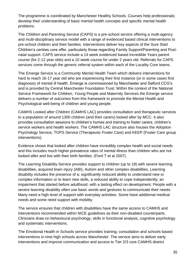The programme is coordinated by Manchester Healthy Schools. Courses help professionals; develop their understanding of basic mental health concepts and specific mental health problems.

The Children and Parenting Service (CAPS) is a pre-school service offering a multi-agency and multi-disciplinary service model with a range of evidenced based clinical interventions to pre-school children and their families. Interventions deliver key aspects of the Sure Start Children's centres core offer, particularly those regarding Family Support/Parenting and Postnatal support. CAPS service include a 14 week evidenced based Incredible Years parent course (for 2-12 year olds) and a 10 week course for under 2 years old. Referrals for CAPS services come through the generic referral system within each of the Locality Core teams.

The Emerge Service is a Community Mental Health Team which delivers interventions for hard to reach 16-17 year old who are experiencing their first instance (or in some cases first diagnosis) of mental ill health. Emerge is commissioned by Manchester and Salford CCG's and is provided by Central Manchester Foundation Trust. Within the context of the National Service Framework for Children, Young People and Maternity Services the Emerge service delivers a number of outcomes from this framework to promote the Mental Health and Psychological well-being of children and young people.

CAMHS Looked after Children (CAMHS LAC) provides consultation and therapeutic services to a population of around 1300 children (and their carers) looked after by MCC. It also provides consultation sessions to children's homes and training to foster carers, children's service workers and health workers. The CAMHS LAC structure also houses the Adoption Psychology Service, TOPS Service (Therapeutic Foster Care) and KEEP (Foster Care group interventions).

Evidence shows that looked after children have incredibly complex health and social needs and this includes much higher prevalence rates of mental illness than children who are not looked after and live with their birth families. (Ford T et al 2007)

The Learning Disability Service provides support to children (up to 18) with severe learning disabilities, acquired brain injury (ABI), Autism and other complex disabilities. Learning disability includes the presence of a: significantly reduced ability to understand new or complex information or to learn new skills, a reduced ability to cope independently; an impairment that started before adulthood, with a lasting effect on development. People with a severe learning disability often use basic words and gestures to communicate their needs. Many need a high level of support with everyday activities. Some have additional medical needs and some need support with mobility.

The service ensures that children with disabilities have the same access to CAMHS and interventions recommended within NICE guidelines as their non-disabled counterparts. Clinicians draw on behavioural psychology, skills in functional analysis, cognitive psychology and systematic interventions.

The Emotional Health in Schools service provides training; consultation and schools based interventions in nine high schools across Manchester. The service aims to deliver early interventions and improve communication and access to Tier 2/3 core CAMHS district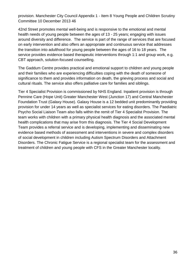provision. Manchester City Council Appendix 1 - Item 8 Young People and Children Scrutiny Committee 10 December 2013 46

42nd Street promotes mental well-being and is responsive to the emotional and mental health needs of young people between the ages of 13 - 25 years; engaging with issues around diversity and difference. The service is part of the range of services that are focused on early intervention and also offers an appropriate and continuous service that addresses the transition into adulthood for young people between the ages of 16 to 18 years. The service provides evidence based therapeutic interventions through 1:1 and group work, e.g. CBT approach, solution-focused counselling.

The Gaddum Centre provides practical and emotional support to children and young people and their families who are experiencing difficulties coping with the death of someone of significance to them and provides information on death, the grieving process and social and cultural rituals. The service also offers palliative care for families and siblings.

Tier 4 Specialist Provision is commissioned by NHS England. Inpatient provision is through Pennine Care (Hope Unit) Greater Manchester West (Junction 17) and Central Manchester Foundation Trust (Galaxy House). Galaxy House is a 12 bedded unit predominantly providing provision for under 14 years as well as specialist services for eating disorders. The Paediatric Psycho Social Liaison Team also falls within the remit of Tier 4 Specialist Provision. The team works with children with a primary physical health diagnosis and the associated mental health complications that may arise from this diagnosis. The Tier 4 Social Development Team provides a referral service and is developing, implementing and disseminating new evidence based methods of assessment and interventions in severe and complex disorders of social development in children including Autism Spectrum Disorders and Attachment Disorders. The Chronic Fatigue Service is a regional specialist team for the assessment and treatment of children and young people with CFS in the Greater Manchester locality.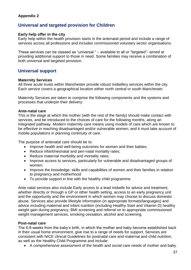#### **Appendix 2**

## **Universal and targeted provision for Children**

#### **Early help offer in the city**

Early help within the health provision starts in the antenatal period and include a range of services across all professions and includes commissioned voluntary sector organisations.

These services can be classed as "universal " – available to all or "targeted"- aimed at providing additional support to those in need. Some families may receive a combination of both universal and targeted provision.

## **Universal support**

#### **Maternity Services**

All three acute trusts within Manchester provide robust midwifery services within the city. Each service covers a geographical location either north central or south Manchester.

Maternity Services are taken to comprise the following components and the systems and processes that underpin their delivery:

#### **Ante-natal care**

This is the stage at which the mother (with the rest of the family) should make contact with services, and be introduced to the choices of care for the following months, along an integrated pathway. Modern maternity care means using models of care which are known to be effective in reaching disadvantaged and/or vulnerable women; and it must take account of mobile populations in planning continuity of care.

The purpose of antenatal care should be to:

- Improve health and well-being outcomes for women and their babies;
- Reduce infant/neonatal and peri-natal mortality rates;
- Reduce maternal morbidity and mortality rates;
- Improve access to services, particularly for vulnerable and disadvantaged groups of women;
- Improve the knowledge, skills and capabilities of women and their families in relation to pregnancy and motherhood
- To provide support in line with the healthy child programme

Ante natal services also include Early access to a lead midwife for advice and treatment, whether directly or through a GP or other health setting, access to an early pregnancy unit and the opportunity and the environment in which women may choose to discuss domestic abuse. Services also provide lifestyle information (in appropriate formats/languages) and advice including maternal and infant nutrition (including Healthy Start and Vitamin D) healthy weight gain during pregnancy, BMI screening and referral on to appropriate commissioned weight management services, smoking cessation, alcohol and screening.

#### **Post-natal care**

The 6-8 weeks from the baby's birth, in which the mother and baby become established back in their usual home environment, give rise to a range of needs for support. Services are consistent with NICE clinical Guidelines for postnatal care and maternal and child nutrition, as well as the Healthy Child Programme and include:

A comprehensive assessment of the health and social care needs of mother and baby.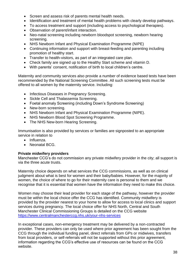- Screen and assess risk of parents mental health needs.
- Identification and treatment of mental health problems with clearly develop pathways.
- To access treatment and support (including access to psychological therapies).
- Observation of parent/infant interaction.
- Neo-natal screening including newborn bloodspot screening, newborn hearing screening.
- NHS Newborn Infant and Physical Examination Programme (NIPE)
- Continuing information and support with breast-feeding and parenting including promotion of healthy start.
- Transfer to health-visitors, as part of an integrated care plan.
- Check family are signed up to the Healthy Start scheme and vitamin D.
- With parents' consent, notification of birth to local children's centre.

Maternity and community services also provide a number of evidence based tests have been recommended by the National Screening Committee. All such screening tests must be offered to all women by the maternity service. Including:

- Infectious Diseases in Pregnancy Screening.
- Sickle Cell and Thalassemia Screening.
- Foetal anomaly Screening (including Down's Syndrome Screening)
- New-born screening.
- NHS Newborn Infant and Physical Examination Programme (NIPE).
- NHS Newborn Blood Spot Screening Programme.
- The NHS New-born Hearing Screening.

Immunisation is also provided by services or families are signposted to an appropriate service in relation to

- Influenza.
- Neonatal BCG.

#### **Private midwifery providers**

Manchester CCG's do not commission any private midwifery provider in the city; all support is via the three acute trusts.

Maternity choice depends on what services the CCG commissions, as well as on clinical judgment about what is best for women and their baby/babies. However, for the majority of women, the choice of where to go for their maternity care is personal to them and we recognise that it is essential that women have the information they need to make this choice.

Women may choose their lead provider for each stage of the pathway, however the provider must be within the local choice offer the CCG has identified. Community midwifery is provided by the provider nearest to your home to allow for access to local clinics and support services during pregnancy. The local choice offer for NHS North, Central and South Manchester Clinical Commissioning Groups is detailed on the CCG website <https://www.centralmanchesterccg.nhs.uk/your-nhs-services>

In exceptional cases, non-emergency treatment may be delivered by a non-contracted provider. These providers can only be used where prior agreement has been sought from the CCG through the individual funding panel, direct referrals from GPs or midwives, transfers from local providers, or self-referrals will not be supported without this prior agreement, information regarding the CCG's effective use of resources can be found on the CCG website.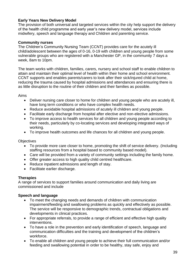#### **Early Years New Delivery Model**

The provision of both universal and targeted services within the city help support the delivery of the health child programme and early year's new delivery model, services include midwifery, speech and language therapy and Children and parenting service.

#### **Community nurses**

The Children's Community Nursing Team (CCNT) provides care for the acutely ill child/adolescent between the ages of 0-16, 0-19 with children and young people from some vulnerable groups who are registered with a Manchester GP, in the community 7 days a week, 8am to 10pm.

The team works with children, families, carers, nursery and school staff to enable children to attain and maintain their optimal level of health within their home and school environment. CCNT supports and enables parents/carers to look after their sick/injured child at home, reducing the trauma caused by hospital admissions and attendances and ensuring there is as little disruption to the routine of their children and their families as possible.

Aims

- Deliver nursing care closer to home for children and young people who are acutely ill, have long term conditions or who have complex health needs.
- Reduce avoidable hospital admissions of acutely ill children and young people.
- Facilitate early discharge from hospital after elective and non-elective admissions.
- To improve access to health services for all children and young people according to their needs, particularly by co-locating services and developing integrated ways of working.
- To improve health outcomes and life chances for all children and young people.

**Objectives** 

- To provide more care closer to home, promoting the shift of service delivery. (Including staffing resources from a hospital based to community based model).
- Care will be provided from a variety of community settings including the family home.
- Offer greater access to high quality child centred healthcare.
- Reduce inpatient admissions and length of stay.
- Facilitate earlier discharge.

#### **Therapies**

A range of services to support families around communication and daily living are commissioned and include

#### **Speech and language**

- To meet the changing needs and demands of children with communication impairment/feeding and swallowing problems as quickly and effectively as possible. The service will be responsive to demographic trends, contractual obligations and developments in clinical practices.
- For appropriate referrals, to provide a range of efficient and effective high quality interventions.
- To have a role in the prevention and early identification of speech, language and communication difficulties and the training and development of the children's workforce.
- To enable all children and young people to achieve their full communication and/or feeding and swallowing potential in order to be healthy, stay safe, enjoy and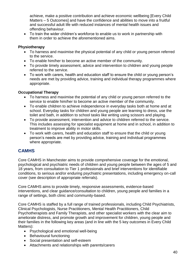achieve, make a positive contribution and achieve economic wellbeing [Every Child Matters – 5 Outcomes] and have the confidence and abilities to move into a fruitful and successful adult life with reduced instances of mental health issues and offending behaviour.

 To train the wider children's workforce to enable us to work in partnership with them in order to achieve the aforementioned aims.

#### **Physiotherapy**

- To harness and maximise the physical potential of any child or young person referred to the service.
- To enable him/her to become an active member of the community.
- To provide timely assessment, advice and intervention to children and young people referred to the service.
- To work with carers, health and education staff to ensure the child or young person's needs are met by providing advice, training and individual therapy programmes where appropriate.

#### **Occupational Therapy**

- To harness and maximise the potential of any child or young person referred to the service to enable him/her to become an active member of the community.
- To enable children to achieve independence in everyday tasks both at home and at school. Everyday tasks for children and young people are learning to dress, use the toilet and bath, in addition to school tasks like writing using scissors and playing.
- To provide assessment, intervention and advice to children referred to the service. This includes assessing for specialist equipment at home and in school, in addition to treatment to improve ability in motor skills.
- To work with carers, health and education staff to ensure that the child or young person's needs are met by providing advice, training and individual programmes where appropriate.

# **CAMHS**

Core CAMHS in Manchester aims to provide comprehensive coverage for the emotional, psychological and psychiatric needs of children and young people between the ages of 5 and 18 years, from consultation to Tier 1 professionals and brief interventions for identifiable conditions, to serious and/or enduring psychiatric presentations, including emergency on-call cover (see description of appropriate referrals).

Core CAMHS aims to provide timely, responsive assessments, evidence-based interventions, and clear guidance/consultation to children, young people and families in a range of settings, both clinic and community-based.

Core CAMHS is staffed by a full range of trained professionals, including Child Psychiatrists, Clinical Psychologists, Nurse Practitioners, Mental Health Practitioners, Child Psychotherapists and Family Therapists, and other specialist workers with the clear aim to ameliorate distress, and promote growth and improvement for children, young people and their families in the following key areas (and in line with the 5 key outcomes in Every Child Matters):

- Psychological and emotional well-being
- Behavioural functioning
- Social presentation and self-esteem
- Attachments and relationships with parents/carers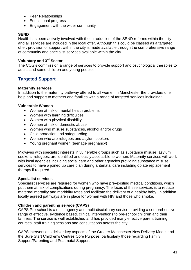- Peer Relationships
- Educational progress
- Engagement with the wider community

### **SEND**

Health has been actively involved with the introduction of the SEND reforms within the city and all services are included in the local offer. Although this could be classed as a targeted offer, provision of support within the city is made available through the comprehensive range of community and specialist services available within the city.

# **Voluntary and 3rd Sector**

The CCG's commission a range of services to provide support and psychological therapies to adults and some children and young people.

# **Targeted Support**

#### **Maternity services**

In addition to the maternity pathway offered to all women in Manchester the providers offer help and support to mothers and families with a range of targeted services including:

#### **Vulnerable Women**

- Women at risk of mental health problems
- Women with learning difficulties
- Women with physical disability
- Women at risk of domestic abuse
- Women who misuse substances, alcohol and/or drugs
- Child protection and safeguarding
- Women who are refugees and asylum seekers
- Young pregnant women (teenage pregnancy)

Midwives with specialist interests in vulnerable groups such as substance misuse, asylum seekers, refugees, are identified and easily accessible to women. Maternity services will work with local agencies including social care and other agencies providing substance misuse services to have a joined up care plan during antenatal care including opiate replacement therapy if required.

### **Specialist services**

Specialist services are required for women who have pre-existing medical conditions, which put them at risk of complications during pregnancy. The focus of these services is to reduce maternal mortality and morbidity rates and facilitate the delivery of a healthy baby. In addition locally agreed pathways are in place for women with HIV and those who smoke.

### **Children and parenting service (CAPS)**

CAPS Pre-school is a multi-agency and multi-disciplinary service providing a comprehensive range of effective, evidence based, clinical interventions to pre-school children and their families. The service is well established and has provided many effective parent training courses, staff training sessions and consultations across the city.

CAPS interventions deliver key aspects of the Greater Manchester New Delivery Model and the Sure Start Children's Centres Core Purpose, particularly those regarding Family Support/Parenting and Post-natal Support.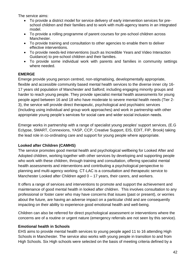The service aims:

- To provide a district model for service delivery of early intervention services for preschool children and their families and to work with multi-agency teams in an integrated model.
- To provide a rolling programme of parent courses for pre-school children across Manchester.
- To provide training and consultation to other agencies to enable them to deliver effective interventions.
- To provide needs-led interventions (such as Incredible Years and Video Interaction Guidance) to pre-school children and their families.
- To provide some individual work with parents and families in community settings where needed.

### **EMERGE**

Emerge provide young person centred, non-stigmatising, developmentally appropriate, flexible and accessible community based mental health services to the diverse inner city 16- 17 years old population of Manchester and Salford; including engaging minority groups and harder to reach young people. They provide specialist mental health assessments for young people aged between 16 and 18 who have moderate to severe mental health needs (Tier 2- 3), the service will provide direct therapeutic, psychological and psychiatric services (Including using individual and group work approaches) and work in partnership with other appropriate young people's services for social care and wider social inclusion needs.

Emerge works in partnership with a range of specialist young peoples' support services, (E.G Eclypse, SMART, Connexions, YASP, CCP, Creative Support, EIS, EDIT, FIP, Brook) taking the lead role in co-ordinating care and support for young people where appropriate.

#### **Looked after Children (CAMHS)**

The service promotes good mental health and psychological wellbeing for Looked After and Adopted children, working together with other services by developing and supporting people who work with these children, through training and consultation, offering specialist mental health assessments and interventions and contributing a psychological perspective to planning and multi-agency working. CT-LAC is a consultation and therapeutic service to Manchester Looked after Children aged 0 – 17 years, their carers, and workers.

It offers a range of services and interventions to promote and support the achievement and maintenance of good mental health in looked after children. This involves consultation to any professional or foster carer who may have concerns that issues (past or present), or worries about the future, are having an adverse impact on a particular child and are consequently impacting on their ability to experience good emotional health and well-being.

Children can also be referred for direct psychological assessment or interventions where the concerns are of a routine or urgent nature (emergency referrals are not seen by this service).

#### **Emotional health in Schools**

EHS aims to provide mental health services to young people aged 11 to 16 attending High Schools in Manchester. The service also works with young people in transition to and from High Schools. Six High schools were selected on the basis of meeting criteria defined by a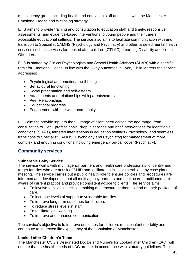multi agency group including health and education staff and in line with the Manchester Emotional Health and Wellbeing strategy.

EHS aims to provide training and consultation to education staff and timely, responsive assessments, and evidence-based interventions to young people and their carers in accessible educational settings. The service also aims to facilitate communication with and transition to Specialist CAMHS (Psychology and Psychiatry) and other targeted mental health services such as services for Looked after children (CTLAC), Learning Disability and Youth Offenders.

EHS is staffed by Clinical Psychologists and School Health Advisors (SHA's) with a specific remit for Emotional Health. In line with the 5 key outcomes in Every Child Matters the service addresses:

- Psychological and emotional well-being
- Behavioural functioning
- Social presentation and self-esteem
- Attachments and relationships with parents/carers
- Peer Relationships
- Educational progress
- Engagement with the wider community

EHS aims to provide input to the full range of client need across the age range, from consultation to Tier 1 professionals, drop in services and brief interventions for identifiable conditions (SHA's), targeted interventions in education settings (Psychology) and seamless transitions to Specialist CAMHS (Psychology and Psychiatry) for management of more complex and enduring conditions including emergency on-call cover (Psychiatry).

## **Community services**

#### **Vulnerable Baby Service**

The service works with multi agency partners and health care professionals to identify and target families who are at risk of SUID and facilitate an initial vulnerable baby case planning meeting. The service carries out a public health role to ensure policies and procedures are informed and developed so that all multi agency partners and healthcare practitioners are aware of current practice and provide consistent advice to clients. The service aims

- To involve families in decision making and encourage them to lead on their package of care.
- To increase levels of support to vulnerable families.
- To improve long term outcomes for children.
- To reduce stress levels in staff.
- To facilitate joint working.
- To improve and enhance communication.

The service's objective is to improve outcomes for children, reduce infant mortality and contribute to improved life expectancy of the population of Manchester.

#### **Looked after Children's Team**

The Manchester CCG's Designated Doctor and Nurse's for Looked after Children (LAC) will ensure that the health needs of LAC are met in accordance with statutory guidelines. The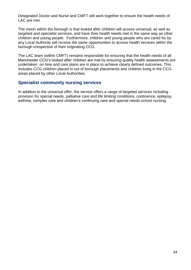Designated Doctor and Nurse and CMFT will work together to ensure the health needs of LAC are met.

The vision within the borough is that looked after children will access universal, as well as targeted and specialist services, and have their health needs met in the same way as other children and young people. Furthermore, children and young people who are cared for by any Local Authority will receive the same opportunities to access health services within the borough irrespective of their originating CCG.

The LAC team (within CMFT) remains responsible for ensuring that the health needs of all Manchester CCG's looked after children are met by ensuring quality health assessments are undertaken on time and care plans are in place to achieve clearly defined outcomes. This includes CCG children placed in out of borough placements and children living in the CCG areas placed by other Local Authorities.

## **Specialist community nursing services**

In addition to the universal offer, the service offers a range of targeted services including provision for special needs, palliative care and life limiting conditions, continence, epilepsy, asthma, complex care and children's continuing care and special needs school nursing.